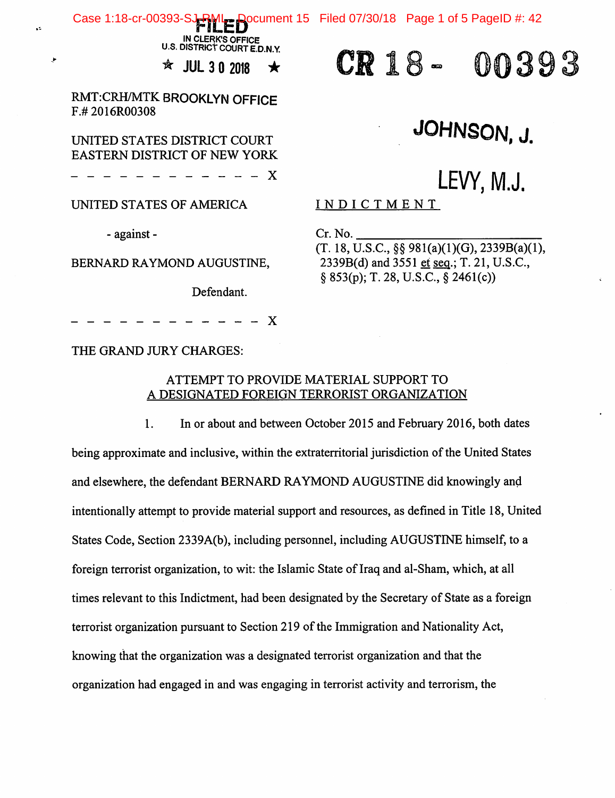Case 1:18-cr-00393-SJ-RML Document 15 Filed 07/30/18 Page 1 of 5 PageID #: 42

IN CLERK'S OFFICE U.S. DISTRICT COURT E.D.N.Y.

 $\mathcal{R}$  JUL 3 0 2018  $\star$ 

RMT:CRH/MTK BROOKLYN OFFICE F.# 2016R00308

### UNITED STATES DISTRICT COURT EASTERN DISTRICT OF NEW YORK

X

UNITED STATES OF AMERICA

- against -

v.

BERNARD RAYMOND AUGUSTINE,

Defendant.

X

THE GRAND JURY CHARGES:

### ATTEMPT TO PROVIDE MATERIAL SUPPORT TO A DESIGNATED FOREIGN TERRORIST ORGANIZATION

1. In or about and between October 2015 and February 2016, both dates being approximate and inclusive, within the extraterritorial jurisdiction of the United States and elsewhere, the defendant BERNARD RAYMOND AUGUSTINE did knowingly and intentionally attempt to provide material support and resources, as defined in Title 18, United States Code, Section 2339A(b), including personnel, including AUGUSTINE himself, to a foreign terrorist organization, to wit: the Islamic State of Iraq and al-Sham, which, at all times relevant to this Indictment, had been designated by the Secretary of State as a foreign terrorist organization pursuant to Section 219 of the Immigration and Nationality Act, knowing that the organization was a designated terrorist organization and that the organization had engaged in and was engaging in terrorist activity and terrorism, the

00393 CR 18 -

# JOHNSON, J.

# LEVY, M.J.

INDICTMENT

Cr. No.

(T. 18, U.S.C., §§ 981(a)(1)(G), 2339B(a)(l),  $2339B(d)$  and  $3551$  et seq.; T. 21, U.S.C., § 853(p); T. 28, U.S.C.,§ 2461(c))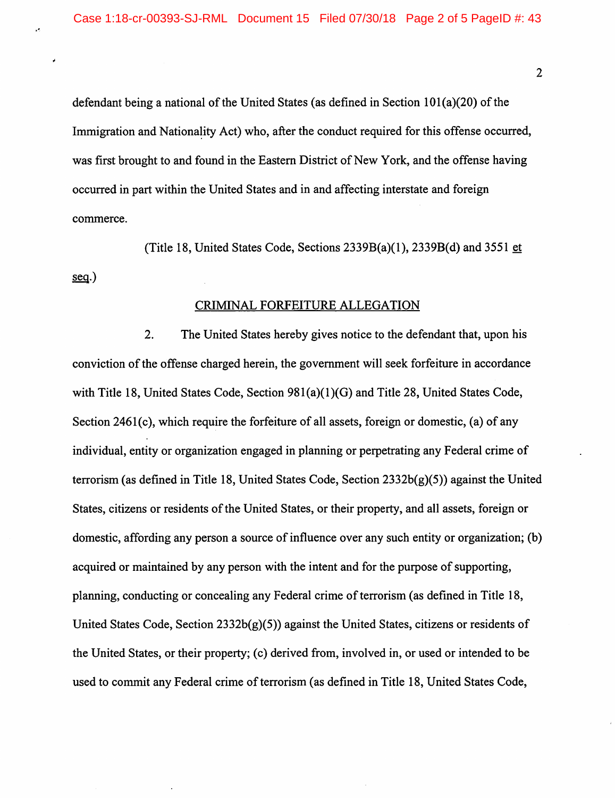defendant being a national of the United States (as defined in Section 101(a)(20) of the Immigration and Nationality Act) who, after the conduct required for this offense occurred, was first brought to and found in the Eastern District of New York, and the offense having occurred in part within the United States and in and affecting interstate and foreign commerce.

(Title 18, United States Code, Sections  $2339B(a)(1)$ ,  $2339B(d)$  and  $3551 \underline{et}$ sea.)

#### CRIMINAL FORFEITURE ALLEGATION

2. The United States hereby gives notice to the defendant that, upon his conviction of the offense charged herein, the government will seek forfeiture in accordance with Title 18, United States Code, Section 981(a)(1)(G) and Title 28, United States Code, Section 2461(c), which require the forfeiture of all assets, foreign or domestic, (a) of any individual, entity or organization engaged in planning or perpetrating any Federal crime of terrorism (as defined in Title 18, United States Code, Section 2332b(g)(5)) against the United States, citizens or residents of the United States, or their property, and all assets, foreign or domestic, affording any person a source of influence over any such entity or organization; (b) acquired or maintained by any person with the intent and for the purpose of supporting, planning, conducting or concealing any Federal crime of terrorism (as defined in Title 18, United States Code, Section 2332b(g)(5)) against the United States, citizens or residents of the United States, or their property; (c) derived from, involved in, or used or intended to be used to commit any Federal crime of terrorism (as defined in Title 18, United States Code,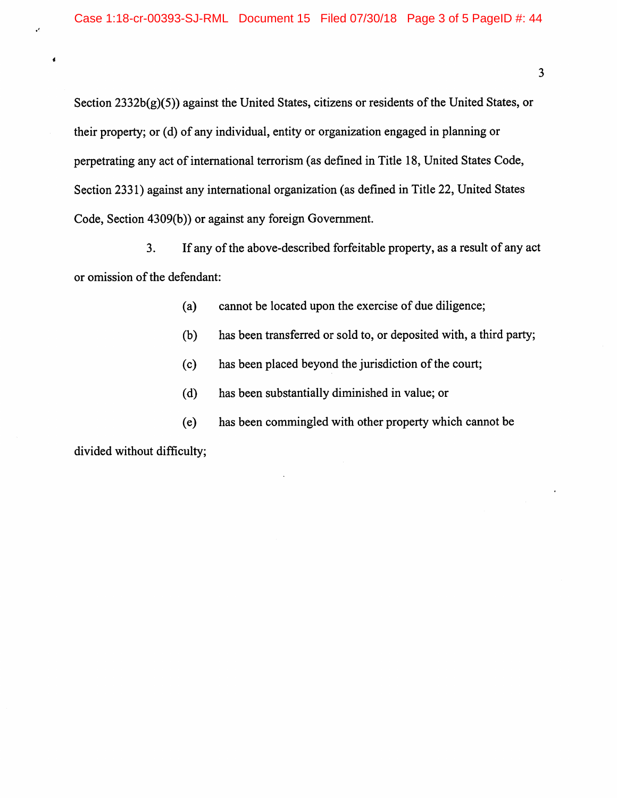Section 2332b(g)(5)) against the United States, citizens or residents of the United States, or their property; or (d) of any individual, entity or organization engaged in planning or perpetrating any act of international terrorism (as defined in Title 18, United States Code, Section 2331) against any international organization (as defined in Title 22, United States Code, Section 4309(b)) or against any foreign Government.

3. If any of the above-described forfeitable property, as a result of any act or omission of the defendant:

(a) cannot be located upon the exercise of due diligence;

(b) has been transferred or sold to, or deposited with, a third party;

(c) has been placed beyond the jurisdiction of the court;

(d) has been substantially diminished in value; or

(e) has been commingled with other property which cannot be

divided without difficulty;

 $\cdot$ 

 $\bullet$ 

 $\overline{\mathbf{3}}$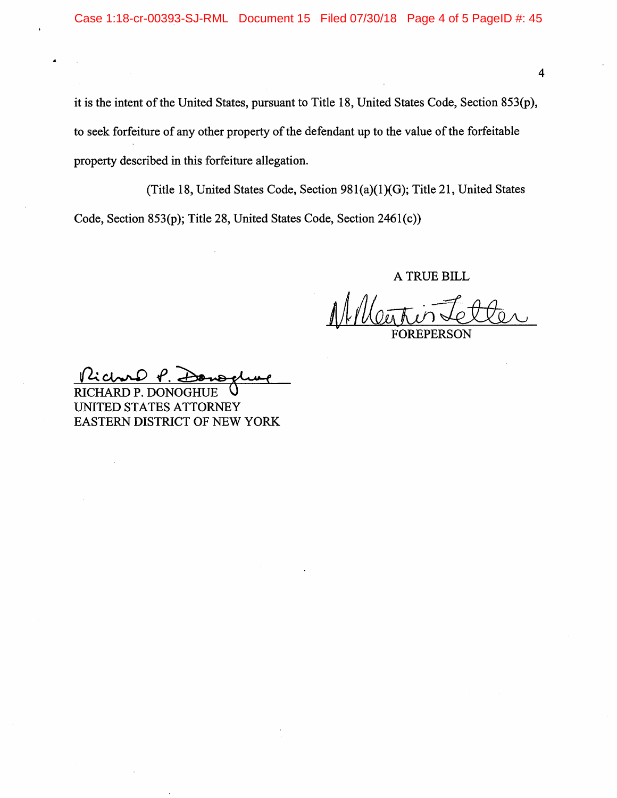it is the intent of the United States, pursuant to Title 18, United States Code, Section 853(p), to seek forfeiture of any other property of the defendant up to the value of the forfeitable property described in this forfeiture allegation.

(Title 18, United States Code, Section 981(a)(1)(G); Title 21, United States Code, Section 853(p); Title 28, United States Code, Section 2461(c))

A TRUE BILL

FOREPERSON

Kichard

RICHARD P. DONOGHUE UNITED STATES ATTORNEY EASTERN DISTRICT OF NEW YORK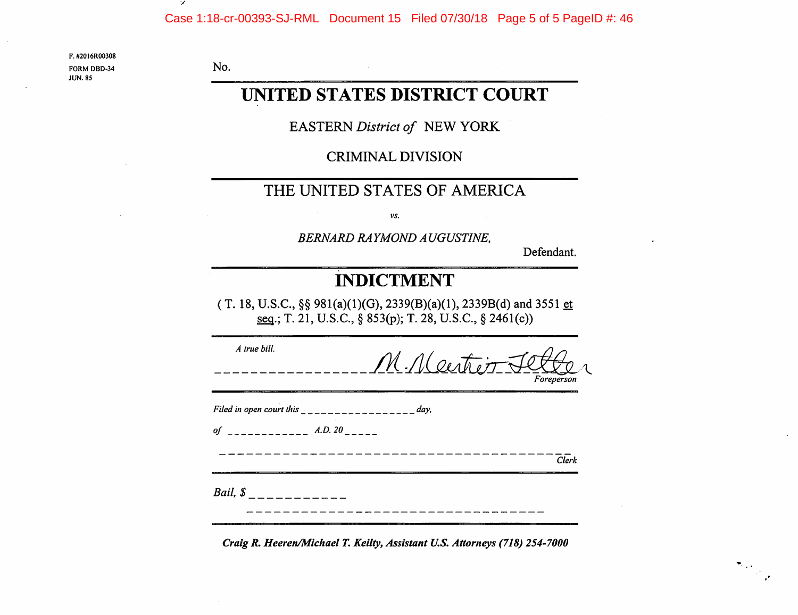F. #2016R00308

No.

FORM DBD-34JUN. 85

## UNITED STATES DISTRICT COURT

EASTERN District of NEW YORK

CRIMINAL DIVISION

## THE UNITED STATES OF AMERICA

vs.

BERNARD RAYMOND AUGUSTINE,

Defendant.

# INDICTMENT

(T. 18, U.S.C., §§  $981(a)(1)(G)$ ,  $2339(B)(a)(1)$ ,  $2339B(d)$  and  $3551 \underline{et}$ T. 21, U.S.C., § 853(p); T. 28, U.S.C., § 2461(c))

| A true bill.                                           | M. Neitier Jet<br>Foreperson |       |
|--------------------------------------------------------|------------------------------|-------|
| Filed in open court this ________________________ day, |                              |       |
|                                                        |                              | Clerk |
| <i>Bail</i> , $\int$ <sub>---------</sub>              |                              |       |

Craig R. Heeren/Michael T. Keilty, Assistant U.S. Attorneys (718) 254-7000